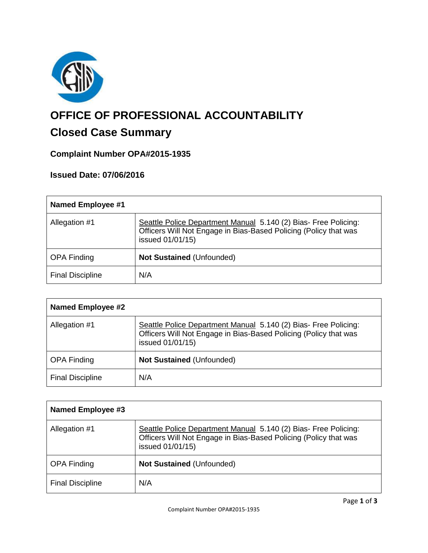

# **OFFICE OF PROFESSIONAL ACCOUNTABILITY**

# **Closed Case Summary**

# **Complaint Number OPA#2015-1935**

# **Issued Date: 07/06/2016**

| <b>Named Employee #1</b> |                                                                                                                                                         |
|--------------------------|---------------------------------------------------------------------------------------------------------------------------------------------------------|
| Allegation #1            | Seattle Police Department Manual 5.140 (2) Bias- Free Policing:<br>Officers Will Not Engage in Bias-Based Policing (Policy that was<br>issued 01/01/15) |
| <b>OPA Finding</b>       | <b>Not Sustained (Unfounded)</b>                                                                                                                        |
| <b>Final Discipline</b>  | N/A                                                                                                                                                     |

| <b>Named Employee #2</b> |                                                                                                                                                         |
|--------------------------|---------------------------------------------------------------------------------------------------------------------------------------------------------|
| Allegation #1            | Seattle Police Department Manual 5.140 (2) Bias- Free Policing:<br>Officers Will Not Engage in Bias-Based Policing (Policy that was<br>issued 01/01/15) |
| <b>OPA Finding</b>       | <b>Not Sustained (Unfounded)</b>                                                                                                                        |
| <b>Final Discipline</b>  | N/A                                                                                                                                                     |

| <b>Named Employee #3</b> |                                                                                                                                                         |
|--------------------------|---------------------------------------------------------------------------------------------------------------------------------------------------------|
| Allegation #1            | Seattle Police Department Manual 5.140 (2) Bias- Free Policing:<br>Officers Will Not Engage in Bias-Based Policing (Policy that was<br>issued 01/01/15) |
| <b>OPA Finding</b>       | <b>Not Sustained (Unfounded)</b>                                                                                                                        |
| <b>Final Discipline</b>  | N/A                                                                                                                                                     |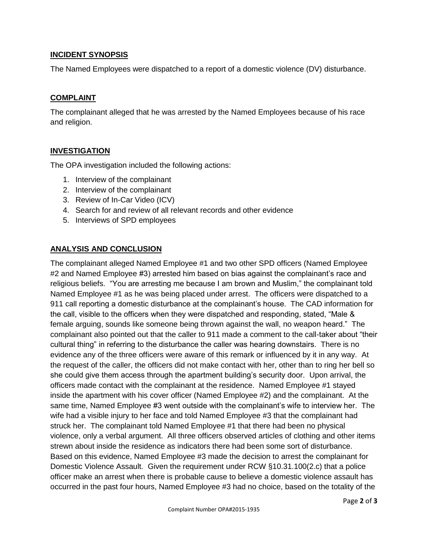#### **INCIDENT SYNOPSIS**

The Named Employees were dispatched to a report of a domestic violence (DV) disturbance.

#### **COMPLAINT**

The complainant alleged that he was arrested by the Named Employees because of his race and religion.

#### **INVESTIGATION**

The OPA investigation included the following actions:

- 1. Interview of the complainant
- 2. Interview of the complainant
- 3. Review of In-Car Video (ICV)
- 4. Search for and review of all relevant records and other evidence
- 5. Interviews of SPD employees

#### **ANALYSIS AND CONCLUSION**

The complainant alleged Named Employee #1 and two other SPD officers (Named Employee #2 and Named Employee #3) arrested him based on bias against the complainant's race and religious beliefs. "You are arresting me because I am brown and Muslim," the complainant told Named Employee #1 as he was being placed under arrest. The officers were dispatched to a 911 call reporting a domestic disturbance at the complainant's house. The CAD information for the call, visible to the officers when they were dispatched and responding, stated, "Male & female arguing, sounds like someone being thrown against the wall, no weapon heard." The complainant also pointed out that the caller to 911 made a comment to the call-taker about "their cultural thing" in referring to the disturbance the caller was hearing downstairs. There is no evidence any of the three officers were aware of this remark or influenced by it in any way. At the request of the caller, the officers did not make contact with her, other than to ring her bell so she could give them access through the apartment building's security door. Upon arrival, the officers made contact with the complainant at the residence. Named Employee #1 stayed inside the apartment with his cover officer (Named Employee #2) and the complainant. At the same time, Named Employee #3 went outside with the complainant's wife to interview her. The wife had a visible injury to her face and told Named Employee #3 that the complainant had struck her. The complainant told Named Employee #1 that there had been no physical violence, only a verbal argument. All three officers observed articles of clothing and other items strewn about inside the residence as indicators there had been some sort of disturbance. Based on this evidence, Named Employee #3 made the decision to arrest the complainant for Domestic Violence Assault. Given the requirement under RCW §10.31.100(2.c) that a police officer make an arrest when there is probable cause to believe a domestic violence assault has occurred in the past four hours, Named Employee #3 had no choice, based on the totality of the